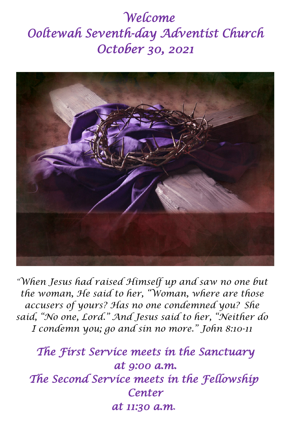## *Welcome Ooltewah Seventh-day Adventist Church October 30, 2021*



*"When Jesus had raised Himself up and saw no one but the woman, He said to her, "Woman, where are those accusers of yours? Has no one condemned you? She said, "No one, Lord." And Jesus said to her, "Neither do I condemn you; go and sin no more." John 8:10-11*

*The First Service meets in the Sanctuary at 9:00 a.m. The Second Service meets in the Fellowship Center at 11:30 a.m.*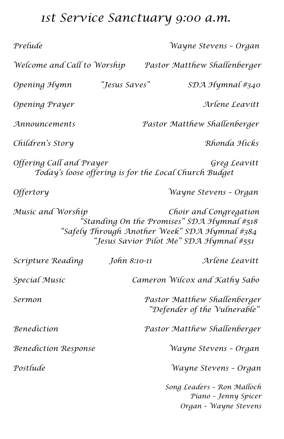## *1st Service Sanctuary 9:00 a.m.*

| Prelude                                                                                                                                                                                    |               | Wayne Stevens - Organ                                                       |  |
|--------------------------------------------------------------------------------------------------------------------------------------------------------------------------------------------|---------------|-----------------------------------------------------------------------------|--|
| Welcome and Call to Worship                                                                                                                                                                |               | Pastor Matthew Shallenberger                                                |  |
| Opening Hymn                                                                                                                                                                               | "Jesus Saves" | SDA Hymnal #340                                                             |  |
| Opening Prayer                                                                                                                                                                             |               | Arlene Leavitt                                                              |  |
| Announcements                                                                                                                                                                              |               | Pastor Matthew Shallenberger                                                |  |
| Children's Story                                                                                                                                                                           |               | Rhonda Hicks                                                                |  |
| Offering Call and Prayer<br>Greg Leavitt<br>Today's loose offering is for the Local Church Budget                                                                                          |               |                                                                             |  |
| Offertory                                                                                                                                                                                  |               | Wayne Stevens - Organ                                                       |  |
| Music and Worship<br>Choir and Congregation<br>.<br>'Standing On the Promises" SDA Hymnal #518<br>"Safely Through Another Week" SDA Hymnal #384<br>"Jesus Savíor Pílot Me" SDA Hymnal #551 |               |                                                                             |  |
| Scripture Reading                                                                                                                                                                          | John 8:10-11  | Arlene Leavitt                                                              |  |
| Special Music                                                                                                                                                                              |               | Cameron Wilcox and Kathy Sabo                                               |  |
| Sermon                                                                                                                                                                                     |               | Pastor Matthew Shallenberger<br>"Defender of the Vulnerable"                |  |
| <b>Benediction</b>                                                                                                                                                                         |               | Pastor Matthew Shallenberger                                                |  |
| <b>Benediction Response</b>                                                                                                                                                                |               | Wayne Stevens - Organ                                                       |  |
| Postlude                                                                                                                                                                                   |               | Wayne Stevens - Organ                                                       |  |
|                                                                                                                                                                                            |               | Song Leaders - Ron Malloch<br>Piano - Jenny Spicer<br>Organ - Wayne Stevens |  |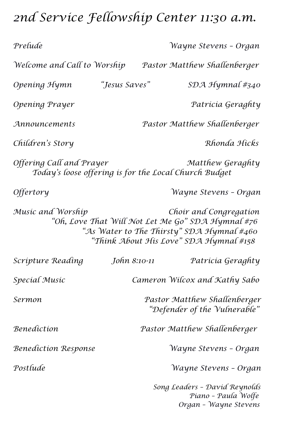# *2nd Service Fellowship Center 11:30 a.m.*

| Prelude                                                                                                                                                                                 |                                                              | Wayne Stevens - Organ                                                         |
|-----------------------------------------------------------------------------------------------------------------------------------------------------------------------------------------|--------------------------------------------------------------|-------------------------------------------------------------------------------|
| Welcome and Call to Worship                                                                                                                                                             |                                                              | Pastor Matthew Shallenberger                                                  |
| Opening Hymn                                                                                                                                                                            | "Jesus Saves"                                                | $SDA$ Hymnal #340                                                             |
| Opening Prayer                                                                                                                                                                          |                                                              | Patrícia Geraghty                                                             |
| Announcements                                                                                                                                                                           |                                                              | Pastor Matthew Shallenberger                                                  |
| Children's Story                                                                                                                                                                        |                                                              | Rhonda Hicks                                                                  |
| Offering Call and Prayer                                                                                                                                                                |                                                              | Matthew Geraghty<br>Today's loose offering is for the Local Church Budget     |
| <i><b>Offertory</b></i>                                                                                                                                                                 |                                                              | Wayne Stevens - Organ                                                         |
| Music and Worship<br>Choir and Congregation<br>"Oh, Love That Will Not Let Me Go" SDA Hymnal #76<br>"As Water to The Thirsty" SDA Hymnal #460<br>"Think About His Love" SDA Hymnal #158 |                                                              |                                                                               |
| Scripture Reading                                                                                                                                                                       | John 8:10-11                                                 | Patricia Geraghty                                                             |
| Special Music                                                                                                                                                                           |                                                              | Cameron Wilcox and Kathy Sabo                                                 |
| Sermon                                                                                                                                                                                  | Pastor Matthew Shallenberger<br>"Defender of the Vulnerable" |                                                                               |
| Benediction                                                                                                                                                                             |                                                              | Pastor Matthew Shallenberger                                                  |
| <b>Benediction Response</b>                                                                                                                                                             |                                                              | Wayne Stevens - Organ                                                         |
| Postlude                                                                                                                                                                                |                                                              | Wayne Stevens - Organ                                                         |
|                                                                                                                                                                                         |                                                              | Song Leaders - David Reynolds<br>Piano - Paula Wolfe<br>Organ - Wayne Stevens |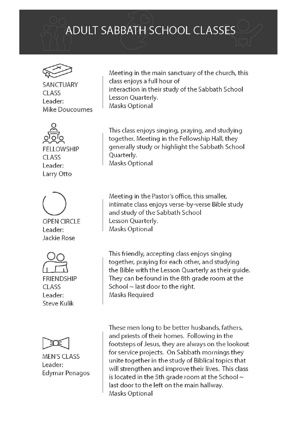### **ADULT SABBATH SCHOOL CLASSES**



**SANCTUARY** CLASS Leader: Mike Doucoumes



**FFITOWSHIP** CLASS Leader: Larry Otto



**OPEN CIRCLE** Leader: Jackie Rose





**MEN'S CLASS** Leader: **Edymar Penagos** 

Meeting in the main sanctuary of the church, this class enjoys a full hour of interaction in their study of the Sabbath School Lesson Quarterly. Masks Optional

This class enjoys singing, praying, and studying together. Meeting in the Fellowship Hall, they generally study or highlight the Sabbath School Quarterly. **Masks Optional** 

Meeting in the Pastor's office, this smaller, intimate class enjoys verse-by-verse Bible study and study of the Sabbath School Lesson Quarterly. Masks Optional

This friendly, accepting class enjoys singing together, praying for each other, and studying the Bible with the Lesson Quarterly as their guide. They can be found in the 8th grade room at the School  $\sim$  last door to the right. **Masks Required** 

These men long to be better husbands, fathers, and priests of their homes. Following in the footsteps of Jesus, they are always on the lookout for service projects. On Sabbath mornings they unite together in the study of Biblical topics that will strengthen and improve their lives. This class is located in the 5th grade room at the School  $\sim$ last door to the left on the main hallway. Masks Optional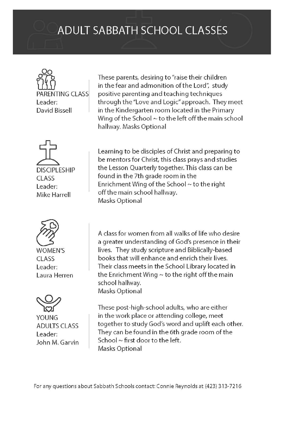### **ADULT SABBATH SCHOOL CLASSES**

**TING CLASS** Leader: David Bissell





**WOMEN'S** CLASS Leader: Laura Herren



**YOUNG ADULTS CLASS** Leader: John M. Garvin

These parents, desiring to "raise their children in the fear and admonition of the Lord", study positive parenting and teaching techniques through the "Love and Logic" approach. They meet in the Kindergarten room located in the Primary Wing of the School  $\sim$  to the left off the main school hallway. Masks Optional

Learning to be disciples of Christ and preparing to be mentors for Christ, this class prays and studies the Lesson Quarterly together. This class can be found in the 7th grade room in the Enrichment Wing of the School ~ to the right off the main school hallway. Masks Optional

A class for women from all walks of life who desire a greater understanding of God's presence in their lives. They study scripture and Biblically-based books that will enhance and enrich their lives. Their class meets in the School Library located in the Enrichment Wing  $\sim$  to the right off the main school hallway. **Masks Optional** 

These post-high-school adults, who are either in the work place or attending college, meet together to study God's word and uplift each other. They can be found in the 6th grade room of the School  $\sim$  first door to the left. Masks Optional

For any questions about Sabbath Schools contact: Connie Reynolds at (423) 313-7216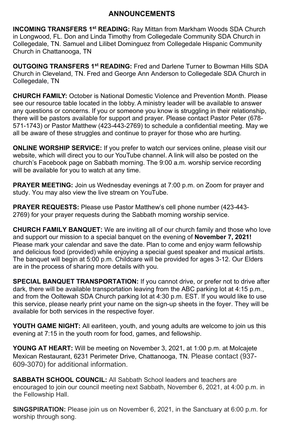#### **ANNOUNCEMENTS**

**INCOMING TRANSFERS 1<sup>st</sup> READING:** Ray Mittan from Markham Woods SDA Church in Longwood, FL. Don and Linda Timothy from Collegedale Community SDA Church in Collegedale, TN. Samuel and Lilibet Dominguez from Collegedale Hispanic Community Church in Chattanooga, TN

**OUTGOING TRANSFERS 1st READING:** Fred and Darlene Turner to Bowman Hills SDA Church in Cleveland, TN. Fred and George Ann Anderson to Collegedale SDA Church in Collegedale, TN

**CHURCH FAMILY:** October is National Domestic Violence and Prevention Month. Please see our resource table located in the lobby. A ministry leader will be available to answer any questions or concerns. If you or someone you know is struggling in their relationship, there will be pastors available for support and prayer. Please contact Pastor Peter (678- 571-1743) or Pastor Matthew (423-443-2769) to schedule a confidential meeting. May we all be aware of these struggles and continue to prayer for those who are hurting.

**ONLINE WORSHIP SERVICE:** If you prefer to watch our services online, please visit our website, which will direct you to our YouTube channel. A link will also be posted on the church's Facebook page on Sabbath morning. The 9:00 a.m. worship service recording will be available for you to watch at any time.

**PRAYER MEETING:** Join us Wednesday evenings at 7:00 p.m. on Zoom for prayer and study. You may also view the live stream on YouTube.

**PRAYER REQUESTS:** Please use Pastor Matthew's cell phone number (423-443- 2769) for your prayer requests during the Sabbath morning worship service.

**CHURCH FAMILY BANQUET:** We are inviting all of our church family and those who love and support our mission to a special banquet on the evening of **November 7, 2021!**  Please mark your calendar and save the date. Plan to come and enjoy warm fellowship and delicious food (provided) while enjoying a special guest speaker and musical artists. The banquet will begin at 5:00 p.m. Childcare will be provided for ages 3-12. Our Elders are in the process of sharing more details with you.

**SPECIAL BANQUET TRANSPORTATION:** If you cannot drive, or prefer not to drive after dark, there will be available transportation leaving from the ABC parking lot at 4:15 p.m., and from the Ooltewah SDA Church parking lot at 4:30 p.m. EST. If you would like to use this service, please nearly print your name on the sign-up sheets in the foyer. They will be available for both services in the respective foyer.

**YOUTH GAME NIGHT:** All earliteen, youth, and young adults are welcome to join us this evening at 7:15 in the youth room for food, games, and fellowship.

**YOUNG AT HEART:** Will be meeting on November 3, 2021, at 1:00 p.m. at Molcajete Mexican Restaurant, 6231 Perimeter Drive, Chattanooga, TN. Please contact (937- 609-3070) for additional information.

**SABBATH SCHOOL COUNCIL:** All Sabbath School leaders and teachers are encouraged to join our council meeting next Sabbath, November 6, 2021, at 4:00 p.m. in the Fellowship Hall.

**SINGSPIRATION:** Please join us on November 6, 2021, in the Sanctuary at 6:00 p.m. for worship through song.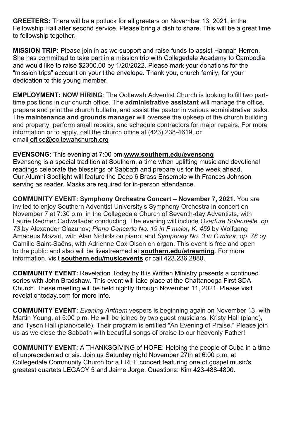**GREETERS:** There will be a potluck for all greeters on November 13, 2021, in the Fellowship Hall after second service. Please bring a dish to share. This will be a great time to fellowship together.

**MISSION TRIP:** Please join in as we support and raise funds to assist Hannah Herren. She has committed to take part in a mission trip with Collegedale Academy to Cambodia and would like to raise \$2300.00 by 1/20/2022. Please mark your donations for the "mission trips" account on your tithe envelope. Thank you, church family, for your dedication to this young member.

**EMPLOYMENT: NOW HIRING**: The Ooltewah Adventist Church is looking to fill two parttime positions in our church office. The **administrative assistant** will manage the office, prepare and print the church bulletin, and assist the pastor in various administrative tasks. The **maintenance and grounds manager** will oversee the upkeep of the church building and property, perform small repairs, and schedule contractors for major repairs. For more information or to apply, call the church office at (423) 238-4619, or email [office@ooltewahchurch.org](mailto:office@ooltewahchurch.org)

**EVENSONG:** This evening at 7:00 pm.**[www.southern.edu/evensong](http://www.southern.edu/evensong)** Evensong is a special tradition at Southern, a time when uplifting music and devotional readings celebrate the blessings of Sabbath and prepare us for the week ahead. Our Alumni Spotlight will feature the Deep 6 Brass Ensemble with Frances Johnson serving as reader. Masks are required for in-person attendance.

**COMMUNITY EVENT: Symphony Orchestra Concert – November 7, 2021.** You are invited to enjoy Southern Adventist University's Symphony Orchestra in concert on November 7 at 7:30 p.m. in the Collegedale Church of Seventh-day Adventists, with Laurie Redmer Cadwallader conducting. The evening will include *Overture Solennelle, op. 73* by Alexander Glazunov; *Piano Concerto No. 19 in F major, K. 459* by Wolfgang Amadeus Mozart, with Alan Nichols on piano; and *Symphony No. 3 in C minor, op. 78* by Camille Saint-Saëns, with Adrienne Cox Olson on organ. This event is free and open to the public and also will be livestreamed at **[southern.edu/streaming](http://southern.edu/streaming)**. For more information, visit **[southern.edu/musicevents](http://southern.edu/musicevents)** or call 423.236.2880.

**COMMUNITY EVENT:** Revelation Today by It is Written Ministry presents a continued series with John Bradshaw. This event will take place at the Chattanooga First SDA Church. These meeting will be held nightly through November 11, 2021. Please visit revelationtoday.com for more info.

**COMMUNITY EVENT:** *Evening Anthem* vespers is beginning again on November 13, with Martin Young, at 5:00 p.m. He will be joined by two guest musicians, Kristy Hall (piano), and Tyson Hall (piano/cello). Their program is entitled "An Evening of Praise." Please join us as we close the Sabbath with beautiful songs of praise to our heavenly Father!

**COMMUNITY EVENT:** A THANKSGIVING of HOPE: Helping the people of Cuba in a time of unprecedented crisis. Join us Saturday night November 27th at 6:00 p.m. at Collegedale Community Church for a FREE concert featuring one of gospel music's greatest quartets LEGACY 5 and Jaime Jorge. Questions: Kim 423-488-4800.